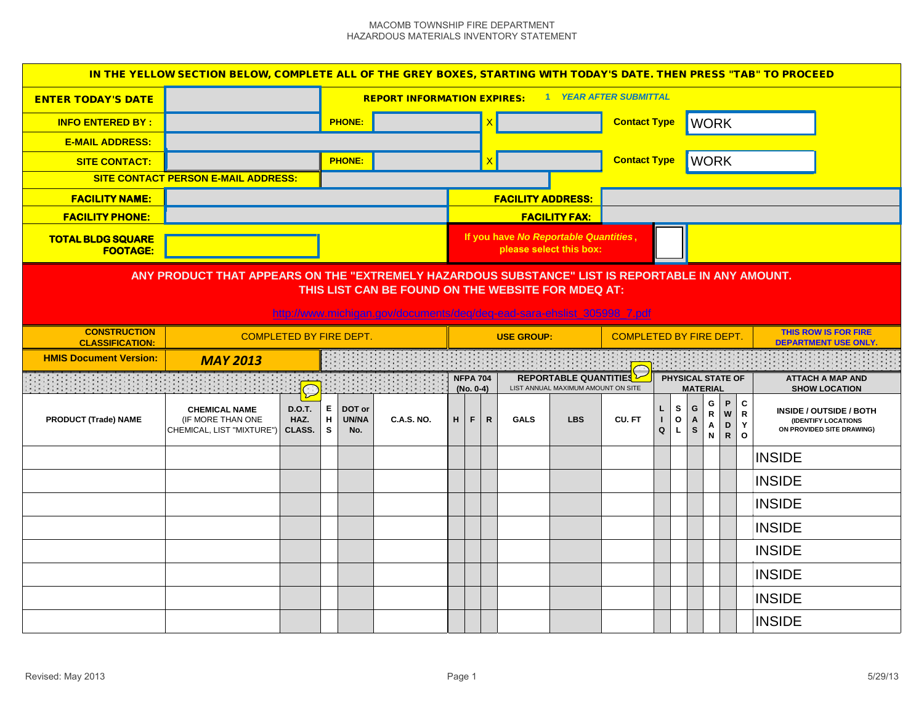#### MACOMB TOWNSHIP FIRE DEPARTMENT HAZARDOUS MATERIALS INVENTORY STATEMENT

| IN THE YELLOW SECTION BELOW, COMPLETE ALL OF THE GREY BOXES, STARTING WITH TODAY'S DATE. THEN PRESS "TAB" TO PROCEED                                                                                                               |                                                                                                                      |                                           |               |                        |                   |   |                              |              |                          |                                                                  |                     |        |                        |                        |                                             |                  |                                                                                                                           |  |  |
|------------------------------------------------------------------------------------------------------------------------------------------------------------------------------------------------------------------------------------|----------------------------------------------------------------------------------------------------------------------|-------------------------------------------|---------------|------------------------|-------------------|---|------------------------------|--------------|--------------------------|------------------------------------------------------------------|---------------------|--------|------------------------|------------------------|---------------------------------------------|------------------|---------------------------------------------------------------------------------------------------------------------------|--|--|
| <b>ENTER TODAY'S DATE</b>                                                                                                                                                                                                          | 1 YEAR AFTER SUBMITTAL<br><b>REPORT INFORMATION EXPIRES:</b>                                                         |                                           |               |                        |                   |   |                              |              |                          |                                                                  |                     |        |                        |                        |                                             |                  |                                                                                                                           |  |  |
| <b>INFO ENTERED BY:</b>                                                                                                                                                                                                            |                                                                                                                      |                                           | <b>PHONE:</b> |                        |                   |   |                              |              |                          |                                                                  | <b>Contact Type</b> |        |                        |                        | <b>WORK</b>                                 |                  |                                                                                                                           |  |  |
| <b>E-MAIL ADDRESS:</b>                                                                                                                                                                                                             |                                                                                                                      |                                           |               |                        |                   |   |                              |              |                          |                                                                  |                     |        |                        |                        |                                             |                  |                                                                                                                           |  |  |
| <b>SITE CONTACT:</b>                                                                                                                                                                                                               |                                                                                                                      |                                           |               | <b>PHONE:</b>          |                   |   |                              |              |                          |                                                                  | <b>Contact Type</b> |        |                        |                        | <b>WORK</b>                                 |                  |                                                                                                                           |  |  |
|                                                                                                                                                                                                                                    | SITE CONTACT PERSON E-MAIL ADDRESS:                                                                                  |                                           |               |                        |                   |   |                              |              |                          |                                                                  |                     |        |                        |                        |                                             |                  |                                                                                                                           |  |  |
| <b>FACILITY NAME:</b>                                                                                                                                                                                                              |                                                                                                                      |                                           |               |                        |                   |   |                              |              | <b>FACILITY ADDRESS:</b> |                                                                  |                     |        |                        |                        |                                             |                  |                                                                                                                           |  |  |
| <b>FACILITY PHONE:</b>                                                                                                                                                                                                             |                                                                                                                      |                                           |               |                        |                   |   |                              |              |                          | <b>FACILITY FAX:</b>                                             |                     |        |                        |                        |                                             |                  |                                                                                                                           |  |  |
| <b>TOTAL BLDG SQUARE</b><br><b>FOOTAGE:</b>                                                                                                                                                                                        |                                                                                                                      |                                           |               |                        |                   |   |                              |              |                          | If you have No Reportable Quantities,<br>please select this box: |                     |        |                        |                        |                                             |                  |                                                                                                                           |  |  |
| ANY PRODUCT THAT APPEARS ON THE "EXTREMELY HAZARDOUS SUBSTANCE" LIST IS REPORTABLE IN ANY AMOUNT.<br>THIS LIST CAN BE FOUND ON THE WEBSITE FOR MDEQ AT:<br>http://www.michigan.gov/documents/deg/deg-ead-sara-ehslist_305998_7.pdf |                                                                                                                      |                                           |               |                        |                   |   |                              |              |                          |                                                                  |                     |        |                        |                        |                                             |                  |                                                                                                                           |  |  |
| <b>CONSTRUCTION</b>                                                                                                                                                                                                                | <b>THIS ROW IS FOR FIRE</b><br><b>COMPLETED BY FIRE DEPT.</b><br><b>COMPLETED BY FIRE DEPT.</b><br><b>USE GROUP:</b> |                                           |               |                        |                   |   |                              |              |                          |                                                                  |                     |        |                        |                        |                                             |                  |                                                                                                                           |  |  |
| <b>CLASSIFICATION:</b>                                                                                                                                                                                                             |                                                                                                                      |                                           |               |                        |                   |   |                              |              |                          |                                                                  |                     |        |                        |                        |                                             |                  | <b>DEPARTMENT USE ONLY</b>                                                                                                |  |  |
| <b>HMIS Document Version:</b>                                                                                                                                                                                                      | <b>MAY 2013</b>                                                                                                      |                                           |               |                        |                   |   |                              |              |                          |                                                                  |                     |        |                        |                        |                                             |                  |                                                                                                                           |  |  |
|                                                                                                                                                                                                                                    |                                                                                                                      |                                           |               |                        |                   |   | <b>NFPA 704</b><br>(No. 0-4) |              |                          | REPORTABLE QUANTITIES<br>LIST ANNUAL MAXIMUM AMOUNT ON SITE      |                     |        |                        |                        | <b>PHYSICAL STATE OF</b><br><b>MATERIAL</b> |                  | <b>ATTACH A MAP AND</b><br><b>SHOW LOCATION</b>                                                                           |  |  |
| <b>PRODUCT (Trade) NAME</b>                                                                                                                                                                                                        | <b>CHEMICAL NAME</b><br>(IF MORE THAN ONE<br>CHEMICAL, LIST "MIXTURE")                                               | $\sum$<br><b>D.O.T.</b><br>HAZ.<br>CLASS. | E<br>H<br>s   | DOT or<br>UN/NA<br>No. | <b>C.A.S. NO.</b> | H | F.                           | $\mathsf{R}$ | <b>GALS</b>              | <b>LBS</b>                                                       | CU.FT               | L<br>Q | s<br>$\mathbf{o}$<br>L | G<br>Α<br>$\mathbf{s}$ | G<br>$\, {\bf R} \,$<br>Α<br>$\mathsf{N}$   | P<br>W<br>D<br>R | $\mathbf c$<br>INSIDE / OUTSIDE / BOTH<br>$\mathbf R$<br>(IDENTIFY LOCATIONS<br>Y<br>ON PROVIDED SITE DRAWING)<br>$\circ$ |  |  |
|                                                                                                                                                                                                                                    |                                                                                                                      |                                           |               |                        |                   |   |                              |              |                          |                                                                  |                     |        |                        |                        |                                             |                  | <b>INSIDE</b>                                                                                                             |  |  |
|                                                                                                                                                                                                                                    |                                                                                                                      |                                           |               |                        |                   |   |                              |              |                          |                                                                  |                     |        |                        |                        |                                             |                  | <b>INSIDE</b>                                                                                                             |  |  |
|                                                                                                                                                                                                                                    |                                                                                                                      |                                           |               |                        |                   |   |                              |              |                          |                                                                  |                     |        |                        |                        |                                             |                  | <b>INSIDE</b>                                                                                                             |  |  |
|                                                                                                                                                                                                                                    |                                                                                                                      |                                           |               |                        |                   |   |                              |              |                          |                                                                  |                     |        |                        |                        |                                             |                  | <b>INSIDE</b>                                                                                                             |  |  |
|                                                                                                                                                                                                                                    |                                                                                                                      |                                           |               |                        |                   |   |                              |              |                          |                                                                  |                     |        |                        |                        |                                             |                  | <b>INSIDE</b>                                                                                                             |  |  |
|                                                                                                                                                                                                                                    |                                                                                                                      |                                           |               |                        |                   |   |                              |              |                          |                                                                  |                     |        |                        |                        |                                             |                  | <b>INSIDE</b>                                                                                                             |  |  |
|                                                                                                                                                                                                                                    |                                                                                                                      |                                           |               |                        |                   |   |                              |              |                          |                                                                  |                     |        |                        |                        |                                             |                  | <b>INSIDE</b>                                                                                                             |  |  |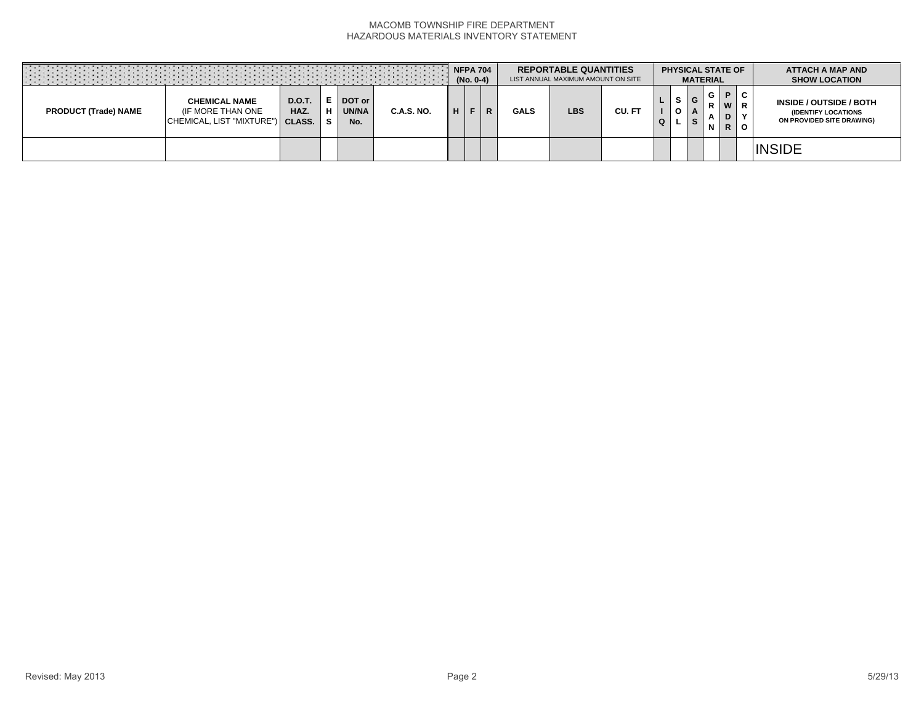### MACOMB TOWNSHIP FIRE DEPARTMENT HAZARDOUS MATERIALS INVENTORY STATEMENT

|                             |                                                                               |                       |                      |                               |                   |    | (No. 0-4) | <b>NFPA 704</b> |             | <b>REPORTABLE QUANTITIES</b><br>LIST ANNUAL MAXIMUM AMOUNT ON SITE |        |   | <b>PHYSICAL STATE OF</b><br><b>MATERIAL</b> |             |                              |              | <b>ATTACH A MAP AND</b><br><b>SHOW LOCATION</b>                             |
|-----------------------------|-------------------------------------------------------------------------------|-----------------------|----------------------|-------------------------------|-------------------|----|-----------|-----------------|-------------|--------------------------------------------------------------------|--------|---|---------------------------------------------|-------------|------------------------------|--------------|-----------------------------------------------------------------------------|
| <b>PRODUCT (Trade) NAME</b> | <b>CHEMICAL NAME</b><br>(IF MORE THAN ONE<br>CHEMICAL, LIST "MIXTURE") CLASS. | <b>D.O.T.</b><br>HAZ. | Е<br>н<br>$\epsilon$ | DOT or<br><b>UN/NA</b><br>No. | <b>C.A.S. NO.</b> | ш. |           | R               | <b>GALS</b> | <b>LBS</b>                                                         | CU. FT | Q | G<br>S                                      | G<br>R<br>N | P.<br>W<br>D<br>$\mathsf{R}$ | C<br>$\circ$ | INSIDE / OUTSIDE / BOTH<br>(IDENTIFY LOCATIONS<br>ON PROVIDED SITE DRAWING) |
|                             |                                                                               |                       |                      |                               |                   |    |           |                 |             |                                                                    |        |   |                                             |             |                              |              | <b>INSIDE</b>                                                               |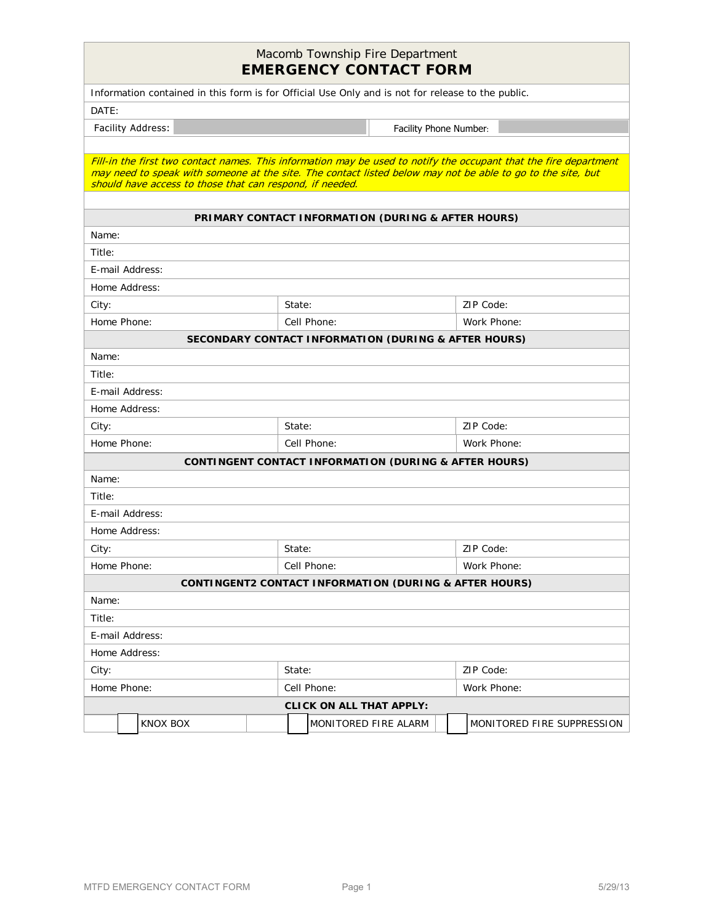## Macomb Township Fire Department **EMERGENCY CONTACT FORM**

|                                                                                                                                                                                                                                                                                              | EMERGENCT CONTACT FORM                                            |                            |
|----------------------------------------------------------------------------------------------------------------------------------------------------------------------------------------------------------------------------------------------------------------------------------------------|-------------------------------------------------------------------|----------------------------|
| Information contained in this form is for Official Use Only and is not for release to the public.                                                                                                                                                                                            |                                                                   |                            |
| DATE:                                                                                                                                                                                                                                                                                        |                                                                   |                            |
| Facility Address:                                                                                                                                                                                                                                                                            | Facility Phone Number:                                            |                            |
|                                                                                                                                                                                                                                                                                              |                                                                   |                            |
| Fill-in the first two contact names. This information may be used to notify the occupant that the fire department<br>may need to speak with someone at the site. The contact listed below may not be able to go to the site, but<br>should have access to those that can respond, if needed. |                                                                   |                            |
|                                                                                                                                                                                                                                                                                              |                                                                   |                            |
|                                                                                                                                                                                                                                                                                              | PRIMARY CONTACT INFORMATION (DURING & AFTER HOURS)                |                            |
| Name:                                                                                                                                                                                                                                                                                        |                                                                   |                            |
| Title:                                                                                                                                                                                                                                                                                       |                                                                   |                            |
| E-mail Address:                                                                                                                                                                                                                                                                              |                                                                   |                            |
| Home Address:                                                                                                                                                                                                                                                                                | State:                                                            |                            |
| City:<br>Home Phone:                                                                                                                                                                                                                                                                         | Cell Phone:                                                       | ZIP Code:<br>Work Phone:   |
|                                                                                                                                                                                                                                                                                              | SECONDARY CONTACT INFORMATION (DURING & AFTER HOURS)              |                            |
| Name:                                                                                                                                                                                                                                                                                        |                                                                   |                            |
| Title:                                                                                                                                                                                                                                                                                       |                                                                   |                            |
| E-mail Address:                                                                                                                                                                                                                                                                              |                                                                   |                            |
| Home Address:                                                                                                                                                                                                                                                                                |                                                                   |                            |
| City:                                                                                                                                                                                                                                                                                        | State:                                                            | ZIP Code:                  |
| Home Phone:                                                                                                                                                                                                                                                                                  | Cell Phone:                                                       | Work Phone:                |
|                                                                                                                                                                                                                                                                                              | <b>CONTINGENT CONTACT INFORMATION (DURING &amp; AFTER HOURS)</b>  |                            |
| Name:                                                                                                                                                                                                                                                                                        |                                                                   |                            |
| Title:                                                                                                                                                                                                                                                                                       |                                                                   |                            |
| E-mail Address:                                                                                                                                                                                                                                                                              |                                                                   |                            |
| Home Address:                                                                                                                                                                                                                                                                                |                                                                   |                            |
| City:                                                                                                                                                                                                                                                                                        | State:                                                            | ZIP Code:                  |
| Home Phone:                                                                                                                                                                                                                                                                                  | Cell Phone:                                                       | Work Phone:                |
|                                                                                                                                                                                                                                                                                              | <b>CONTINGENT2 CONTACT INFORMATION (DURING &amp; AFTER HOURS)</b> |                            |
| Name:                                                                                                                                                                                                                                                                                        |                                                                   |                            |
| Title:                                                                                                                                                                                                                                                                                       |                                                                   |                            |
| E-mail Address:                                                                                                                                                                                                                                                                              |                                                                   |                            |
| Home Address:                                                                                                                                                                                                                                                                                |                                                                   |                            |
| City:                                                                                                                                                                                                                                                                                        | State:                                                            | ZIP Code:                  |
| Home Phone:                                                                                                                                                                                                                                                                                  | Cell Phone:                                                       | Work Phone:                |
|                                                                                                                                                                                                                                                                                              | <b>CLICK ON ALL THAT APPLY:</b>                                   |                            |
| KNOX BOX                                                                                                                                                                                                                                                                                     | MONITORED FIRE ALARM                                              | MONITORED FIRE SUPPRESSION |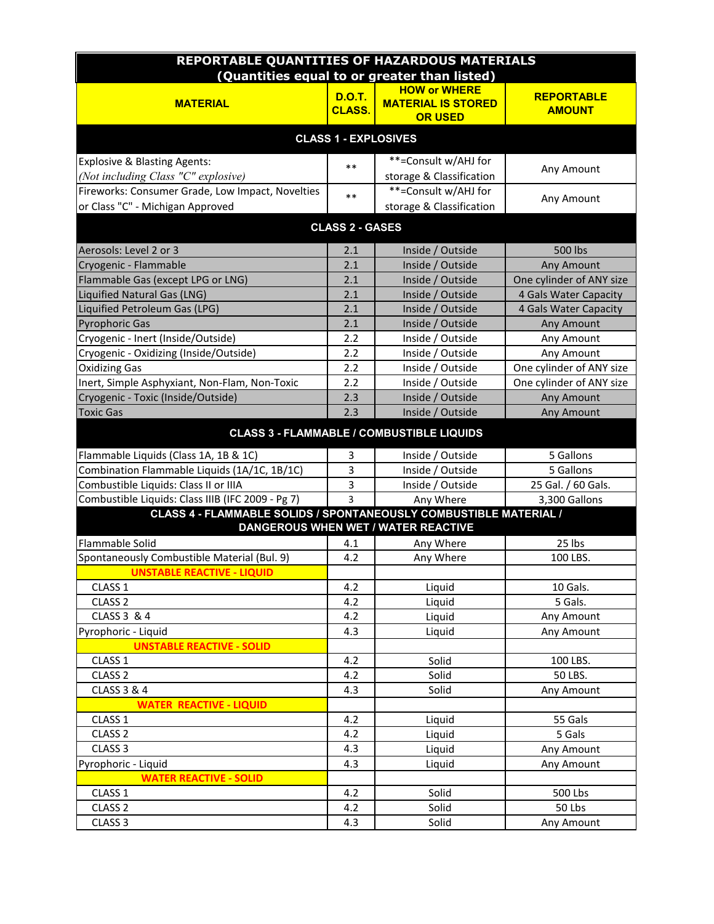| <b>REPORTABLE QUANTITIES OF HAZARDOUS MATERIALS</b>               |                             |                                                  |                          |  |  |  |  |  |
|-------------------------------------------------------------------|-----------------------------|--------------------------------------------------|--------------------------|--|--|--|--|--|
|                                                                   |                             | (Quantities equal to or greater than listed)     |                          |  |  |  |  |  |
|                                                                   | <b>D.O.T.</b>               | <b>HOW or WHERE</b>                              | <b>REPORTABLE</b>        |  |  |  |  |  |
| <b>MATERIAL</b>                                                   | <b>CLASS.</b>               | <b>MATERIAL IS STORED</b>                        | <b>AMOUNT</b>            |  |  |  |  |  |
|                                                                   |                             | <b>OR USED</b>                                   |                          |  |  |  |  |  |
|                                                                   | <b>CLASS 1 - EXPLOSIVES</b> |                                                  |                          |  |  |  |  |  |
| <b>Explosive &amp; Blasting Agents:</b>                           | $***$                       | **=Consult w/AHJ for                             |                          |  |  |  |  |  |
| (Not including Class "C" explosive)                               |                             | storage & Classification                         | Any Amount               |  |  |  |  |  |
| Fireworks: Consumer Grade, Low Impact, Novelties                  | $***$                       | **=Consult w/AHJ for                             | Any Amount               |  |  |  |  |  |
| or Class "C" - Michigan Approved                                  |                             | storage & Classification                         |                          |  |  |  |  |  |
|                                                                   | <b>CLASS 2 - GASES</b>      |                                                  |                          |  |  |  |  |  |
| Aerosols: Level 2 or 3                                            | 2.1                         | Inside / Outside                                 | <b>500 lbs</b>           |  |  |  |  |  |
| Cryogenic - Flammable                                             | 2.1                         | Inside / Outside                                 | Any Amount               |  |  |  |  |  |
| Flammable Gas (except LPG or LNG)                                 | 2.1                         | Inside / Outside                                 | One cylinder of ANY size |  |  |  |  |  |
| Liquified Natural Gas (LNG)                                       | 2.1                         | Inside / Outside                                 | 4 Gals Water Capacity    |  |  |  |  |  |
| Liquified Petroleum Gas (LPG)                                     | 2.1                         | Inside / Outside                                 | 4 Gals Water Capacity    |  |  |  |  |  |
| <b>Pyrophoric Gas</b>                                             | 2.1                         | Inside / Outside                                 | Any Amount               |  |  |  |  |  |
| Cryogenic - Inert (Inside/Outside)                                | 2.2                         | Inside / Outside                                 | Any Amount               |  |  |  |  |  |
| Cryogenic - Oxidizing (Inside/Outside)                            | 2.2                         | Inside / Outside                                 | Any Amount               |  |  |  |  |  |
| <b>Oxidizing Gas</b>                                              | 2.2                         | Inside / Outside                                 | One cylinder of ANY size |  |  |  |  |  |
| Inert, Simple Asphyxiant, Non-Flam, Non-Toxic                     | 2.2                         | Inside / Outside                                 | One cylinder of ANY size |  |  |  |  |  |
| Cryogenic - Toxic (Inside/Outside)                                | 2.3                         | Inside / Outside                                 | Any Amount               |  |  |  |  |  |
| <b>Toxic Gas</b>                                                  | 2.3                         | Inside / Outside                                 | Any Amount               |  |  |  |  |  |
|                                                                   |                             | <b>CLASS 3 - FLAMMABLE / COMBUSTIBLE LIQUIDS</b> |                          |  |  |  |  |  |
| Flammable Liquids (Class 1A, 1B & 1C)                             | 3                           | Inside / Outside                                 | 5 Gallons                |  |  |  |  |  |
| Combination Flammable Liquids (1A/1C, 1B/1C)                      | 3                           | Inside / Outside                                 | 5 Gallons                |  |  |  |  |  |
| Combustible Liquids: Class II or IIIA                             | 3                           | Inside / Outside                                 | 25 Gal. / 60 Gals.       |  |  |  |  |  |
| Combustible Liquids: Class IIIB (IFC 2009 - Pg 7)                 | 3                           | Any Where                                        | 3,300 Gallons            |  |  |  |  |  |
| CLASS 4 - FLAMMABLE SOLIDS / SPONTANEOUSLY COMBUSTIBLE MATERIAL / |                             |                                                  |                          |  |  |  |  |  |
|                                                                   |                             | <b>DANGEROUS WHEN WET / WATER REACTIVE</b>       |                          |  |  |  |  |  |
| Flammable Solid                                                   | 4.1                         | Any Where                                        | 25 lbs                   |  |  |  |  |  |
| Spontaneously Combustible Material (Bul. 9)                       | 4.2                         | Any Where                                        | 100 LBS.                 |  |  |  |  |  |
| <b>UNSTABLE REACTIVE - LIQUID</b>                                 |                             |                                                  |                          |  |  |  |  |  |
| CLASS 1                                                           | 4.2                         | Liquid                                           | 10 Gals.                 |  |  |  |  |  |
| CLASS <sub>2</sub>                                                | 4.2                         | Liquid                                           | 5 Gals.                  |  |  |  |  |  |
| CLASS 3 & 4                                                       | 4.2                         | Liquid                                           | Any Amount               |  |  |  |  |  |
| Pyrophoric - Liquid                                               | 4.3                         | Liquid                                           | Any Amount               |  |  |  |  |  |
| <b>UNSTABLE REACTIVE - SOLID</b>                                  |                             |                                                  |                          |  |  |  |  |  |
| CLASS 1                                                           | 4.2                         | Solid                                            | 100 LBS.                 |  |  |  |  |  |
| CLASS <sub>2</sub>                                                | 4.2                         | Solid                                            | 50 LBS.                  |  |  |  |  |  |
| CLASS 3 & 4                                                       | 4.3                         | Solid                                            | Any Amount               |  |  |  |  |  |
| <b>WATER REACTIVE - LIQUID</b>                                    |                             |                                                  |                          |  |  |  |  |  |
| CLASS 1                                                           | 4.2                         | Liquid                                           | 55 Gals                  |  |  |  |  |  |
| CLASS <sub>2</sub>                                                | 4.2                         | Liquid                                           | 5 Gals                   |  |  |  |  |  |
| CLASS <sub>3</sub>                                                | 4.3                         | Liquid                                           | Any Amount               |  |  |  |  |  |
| Pyrophoric - Liquid                                               | 4.3                         | Liquid                                           | Any Amount               |  |  |  |  |  |
| <b>WATER REACTIVE - SOLID</b>                                     |                             |                                                  |                          |  |  |  |  |  |
| CLASS 1                                                           | 4.2                         | Solid                                            | 500 Lbs                  |  |  |  |  |  |
| CLASS <sub>2</sub>                                                | 4.2                         | Solid                                            | 50 Lbs                   |  |  |  |  |  |
| CLASS <sub>3</sub>                                                | 4.3                         | Solid                                            | Any Amount               |  |  |  |  |  |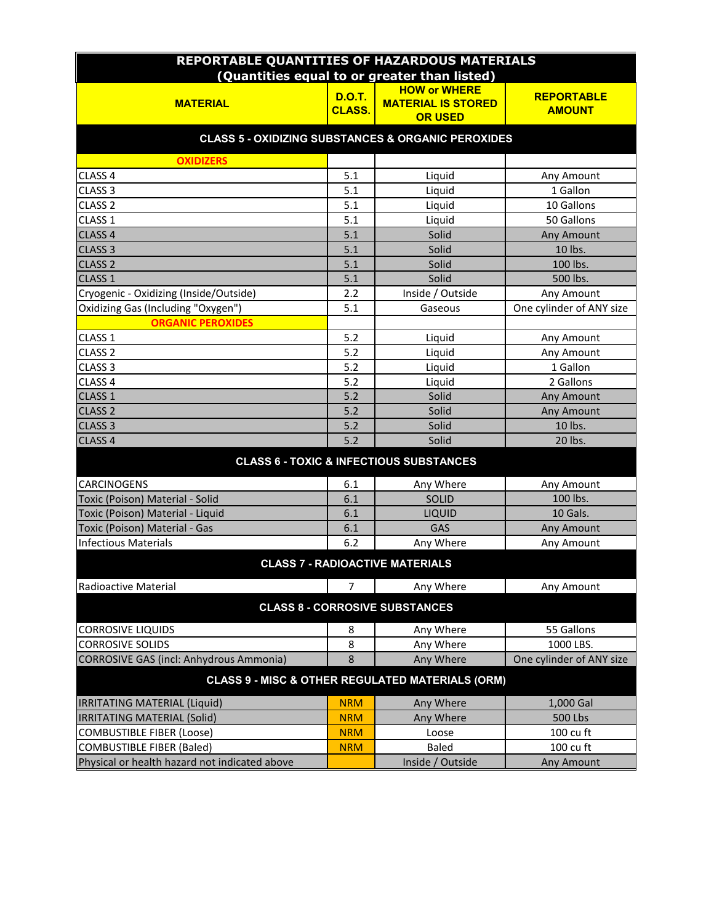| REPORTABLE QUANTITIES OF HAZARDOUS MATERIALS                  |                |                                                             |                          |  |  |  |  |  |  |
|---------------------------------------------------------------|----------------|-------------------------------------------------------------|--------------------------|--|--|--|--|--|--|
|                                                               |                | (Quantities equal to or greater than listed)                |                          |  |  |  |  |  |  |
|                                                               | <b>D.O.T.</b>  | <b>HOW or WHERE</b>                                         | <b>REPORTABLE</b>        |  |  |  |  |  |  |
| <b>MATERIAL</b>                                               | <b>CLASS.</b>  | <b>MATERIAL IS STORED</b><br><b>OR USED</b>                 | <b>AMOUNT</b>            |  |  |  |  |  |  |
|                                                               |                |                                                             |                          |  |  |  |  |  |  |
| <b>CLASS 5 - OXIDIZING SUBSTANCES &amp; ORGANIC PEROXIDES</b> |                |                                                             |                          |  |  |  |  |  |  |
| <b>OXIDIZERS</b>                                              |                |                                                             |                          |  |  |  |  |  |  |
| CLASS 4                                                       | 5.1            | Liquid                                                      | Any Amount               |  |  |  |  |  |  |
| CLASS <sub>3</sub>                                            | 5.1            | Liquid                                                      | 1 Gallon                 |  |  |  |  |  |  |
| CLASS <sub>2</sub>                                            | 5.1            | Liquid                                                      | 10 Gallons               |  |  |  |  |  |  |
| CLASS 1                                                       | 5.1            | Liquid                                                      | 50 Gallons               |  |  |  |  |  |  |
| CLASS <sub>4</sub>                                            | 5.1            | Solid                                                       | Any Amount               |  |  |  |  |  |  |
| CLASS <sub>3</sub>                                            | 5.1            | Solid                                                       | 10 lbs.                  |  |  |  |  |  |  |
| <b>CLASS 2</b>                                                | 5.1            | Solid                                                       | 100 lbs.                 |  |  |  |  |  |  |
| CLASS <sub>1</sub>                                            | 5.1            | Solid                                                       | 500 lbs.                 |  |  |  |  |  |  |
| Cryogenic - Oxidizing (Inside/Outside)                        | 2.2            | Inside / Outside                                            | Any Amount               |  |  |  |  |  |  |
| Oxidizing Gas (Including "Oxygen")                            | 5.1            | Gaseous                                                     | One cylinder of ANY size |  |  |  |  |  |  |
| <b>ORGANIC PEROXIDES</b>                                      |                |                                                             |                          |  |  |  |  |  |  |
| CLASS 1                                                       | 5.2            | Liquid                                                      | Any Amount               |  |  |  |  |  |  |
| CLASS <sub>2</sub>                                            | 5.2            | Liquid                                                      | Any Amount               |  |  |  |  |  |  |
| CLASS <sub>3</sub>                                            | 5.2            | Liquid                                                      | 1 Gallon                 |  |  |  |  |  |  |
| CLASS <sub>4</sub>                                            | 5.2            | Liquid                                                      | 2 Gallons                |  |  |  |  |  |  |
| CLASS <sub>1</sub>                                            | 5.2            | Solid                                                       | Any Amount               |  |  |  |  |  |  |
| CLASS <sub>2</sub>                                            | 5.2            | Solid                                                       | Any Amount               |  |  |  |  |  |  |
| CLASS <sub>3</sub>                                            | 5.2            | Solid                                                       | 10 lbs.                  |  |  |  |  |  |  |
| CLASS <sub>4</sub>                                            | 5.2            | Solid                                                       | 20 lbs.                  |  |  |  |  |  |  |
|                                                               |                | <b>CLASS 6 - TOXIC &amp; INFECTIOUS SUBSTANCES</b>          |                          |  |  |  |  |  |  |
| CARCINOGENS                                                   | 6.1            | Any Where                                                   | Any Amount               |  |  |  |  |  |  |
| Toxic (Poison) Material - Solid                               | 6.1            | SOLID                                                       | 100 lbs.                 |  |  |  |  |  |  |
| Toxic (Poison) Material - Liquid                              | 6.1            | LIQUID                                                      | 10 Gals.                 |  |  |  |  |  |  |
| Toxic (Poison) Material - Gas                                 | 6.1            | GAS                                                         | Any Amount               |  |  |  |  |  |  |
| <b>Infectious Materials</b>                                   | 6.2            | Any Where                                                   | Any Amount               |  |  |  |  |  |  |
|                                                               |                | <b>CLASS 7 - RADIOACTIVE MATERIALS</b>                      |                          |  |  |  |  |  |  |
| Radioactive Material                                          | $\overline{7}$ | Any Where                                                   | Any Amount               |  |  |  |  |  |  |
|                                                               |                | <b>CLASS 8 - CORROSIVE SUBSTANCES</b>                       |                          |  |  |  |  |  |  |
| <b>CORROSIVE LIQUIDS</b>                                      | 8              | Any Where                                                   | 55 Gallons               |  |  |  |  |  |  |
| <b>CORROSIVE SOLIDS</b>                                       | 8              | Any Where                                                   | 1000 LBS.                |  |  |  |  |  |  |
| <b>CORROSIVE GAS (incl: Anhydrous Ammonia)</b>                | 8              | Any Where                                                   | One cylinder of ANY size |  |  |  |  |  |  |
|                                                               |                | <b>CLASS 9 - MISC &amp; OTHER REGULATED MATERIALS (ORM)</b> |                          |  |  |  |  |  |  |
| <b>IRRITATING MATERIAL (Liquid)</b>                           | <b>NRM</b>     | Any Where                                                   | 1,000 Gal                |  |  |  |  |  |  |
| <b>IRRITATING MATERIAL (Solid)</b>                            | <b>NRM</b>     | Any Where                                                   | <b>500 Lbs</b>           |  |  |  |  |  |  |
| <b>COMBUSTIBLE FIBER (Loose)</b>                              | <b>NRM</b>     | Loose                                                       | 100 cu ft                |  |  |  |  |  |  |
| <b>COMBUSTIBLE FIBER (Baled)</b>                              | <b>NRM</b>     | Baled                                                       | 100 cu ft                |  |  |  |  |  |  |
| Physical or health hazard not indicated above                 |                | Inside / Outside                                            | Any Amount               |  |  |  |  |  |  |